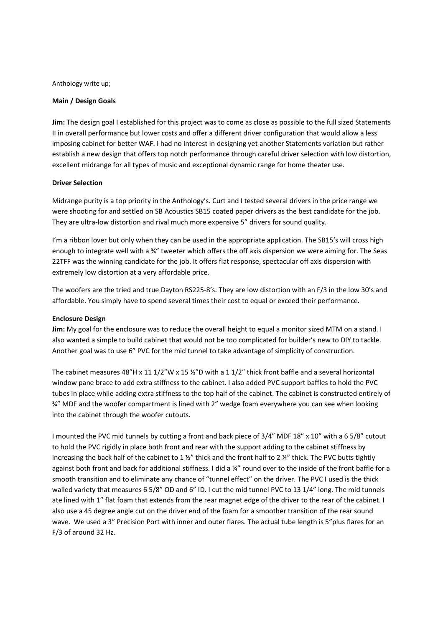Anthology write up;

## **Main / Design Goals**

**Jim:** The design goal I established for this project was to come as close as possible to the full sized Statements II in overall performance but lower costs and offer a different driver configuration that would allow a less imposing cabinet for better WAF. I had no interest in designing yet another Statements variation but rather establish a new design that offers top notch performance through careful driver selection with low distortion, excellent midrange for all types of music and exceptional dynamic range for home theater use.

### **Driver Selection**

Midrange purity is a top priority in the Anthology's. Curt and I tested several drivers in the price range we were shooting for and settled on SB Acoustics SB15 coated paper drivers as the best candidate for the job. They are ultra-low distortion and rival much more expensive 5" drivers for sound quality.

I'm a ribbon lover but only when they can be used in the appropriate application. The SB15's will cross high enough to integrate well with a ¾" tweeter which offers the off axis dispersion we were aiming for. The Seas 22TFF was the winning candidate for the job. It offers flat response, spectacular off axis dispersion with extremely low distortion at a very affordable price.

The woofers are the tried and true Dayton RS225-8's. They are low distortion with an F/3 in the low 30's and affordable. You simply have to spend several times their cost to equal or exceed their performance.

# **Enclosure Design**

**Jim:** My goal for the enclosure was to reduce the overall height to equal a monitor sized MTM on a stand. I also wanted a simple to build cabinet that would not be too complicated for builder's new to DIY to tackle. Another goal was to use 6" PVC for the mid tunnel to take advantage of simplicity of construction.

The cabinet measures 48"H x 11 1/2"W x 15 ½"D with a 1 1/2" thick front baffle and a several horizontal window pane brace to add extra stiffness to the cabinet. I also added PVC support baffles to hold the PVC tubes in place while adding extra stiffness to the top half of the cabinet. The cabinet is constructed entirely of ¾" MDF and the woofer compartment is lined with 2" wedge foam everywhere you can see when looking into the cabinet through the woofer cutouts.

I mounted the PVC mid tunnels by cutting a front and back piece of 3/4" MDF 18" x 10" with a 6 5/8" cutout to hold the PVC rigidly in place both front and rear with the support adding to the cabinet stiffness by increasing the back half of the cabinet to 1 ½" thick and the front half to 2 ¼" thick. The PVC butts tightly against both front and back for additional stiffness. I did a ¾" round over to the inside of the front baffle for a smooth transition and to eliminate any chance of "tunnel effect" on the driver. The PVC I used is the thick walled variety that measures 6 5/8" OD and 6" ID. I cut the mid tunnel PVC to 13 1/4" long. The mid tunnels ate lined with 1" flat foam that extends from the rear magnet edge of the driver to the rear of the cabinet. I also use a 45 degree angle cut on the driver end of the foam for a smoother transition of the rear sound wave. We used a 3" Precision Port with inner and outer flares. The actual tube length is 5"plus flares for an F/3 of around 32 Hz.